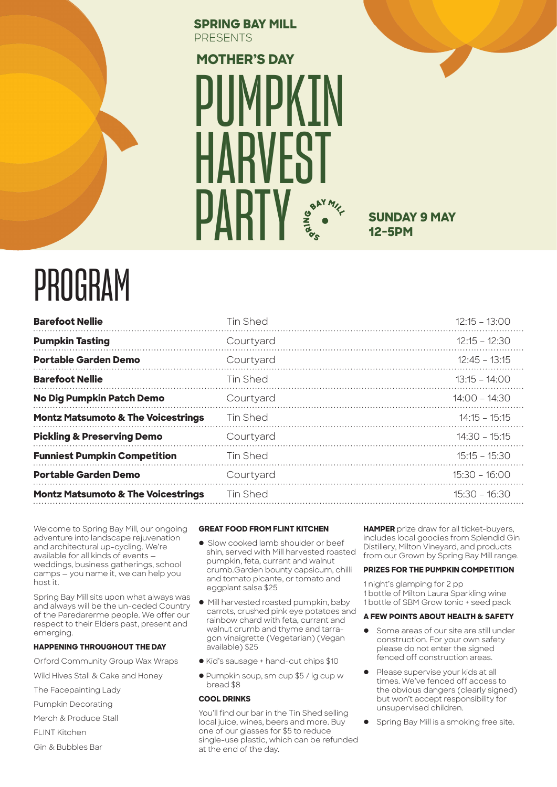#### **SPRING BAY MILL PRESENTS**

# PIIMPKTN HARVEST **PARTY MOTHER'S DAY**

### **SUNDAY 9 MAY 12-5PM**

## PROGRAM

| <b>Barefoot Nellie</b>                        | <b>Tin Shed</b> | $12:15 - 13:00$ |
|-----------------------------------------------|-----------------|-----------------|
| <b>Pumpkin Tasting</b>                        | Courtyard       | $12:15 - 12:30$ |
| <b>Portable Garden Demo</b>                   | Courtyard       | $12:45 - 13:15$ |
| <b>Barefoot Nellie</b>                        | Tin Shed        | $13:15 - 14:00$ |
| No Dig Pumpkin Patch Demo                     | Courtyard       | $14.00 - 14.30$ |
| <b>Montz Matsumoto &amp; The Voicestrings</b> | Tin Shed        | $14:15 - 15:15$ |
| <b>Pickling &amp; Preserving Demo</b>         | Courtyard       | $14:30 - 15:15$ |
| <b>Funniest Pumpkin Competition</b>           | Tin Shed        | $15:15 - 15:30$ |
| <b>Portable Garden Demo</b>                   | Courtyard       | $15:30 - 16:00$ |
| <b>Montz Matsumoto &amp; The Voicestrings</b> | Tin Shed        | $15:30 - 16:30$ |
|                                               |                 |                 |

Welcome to Spring Bay Mill, our ongoing adventure into landscape rejuvenation and architectural up-cycling. We're available for all kinds of events weddings, business gatherings, school camps — you name it, we can help you host it.

Spring Bay Mill sits upon what always was and always will be the un-ceded Country of the Paredarerme people. We offer our respect to their Elders past, present and emerging.

#### **HAPPENING THROUGHOUT THE DAY**

Orford Community Group Wax Wraps

Wild Hives Stall & Cake and Honey

The Facepainting Lady

- Pumpkin Decorating
- Merch & Produce Stall
- FLINT Kitchen
- Gin & Bubbles Bar

#### **GREAT FOOD FROM FLINT KITCHEN**

- **.** Slow cooked lamb shoulder or beef shin, served with Mill harvested roasted pumpkin, feta, currant and walnut crumb.Garden bounty capsicum, chilli and tomato picante, or tomato and eggplant salsa \$25
- $\bullet$  Mill harvested roasted pumpkin, baby carrots, crushed pink eye potatoes and rainbow chard with feta, currant and walnut crumb and thyme and tarragon vinaigrette (Vegetarian) (Vegan available) \$25
- $\bullet$  Kid's sausage + hand-cut chips \$10
- l Pumpkin soup, sm cup \$5 / lg cup w bread \$8

#### **COOL DRINKS**

You'll find our bar in the Tin Shed selling local juice, wines, beers and more. Buy one of our glasses for \$5 to reduce single-use plastic, which can be refunded at the end of the day.

**HAMPER** prize draw for all ticket-buyers, includes local goodies from Splendid Gin Distillery, Milton Vineyard, and products from our Grown by Spring Bay Mill range.

#### **PRIZES FOR THE PUMPKIN COMPETITION**

1 night's glamping for 2 pp 1 bottle of Milton Laura Sparkling wine 1 bottle of SBM Grow tonic + seed pack

#### **A FEW POINTS ABOUT HEALTH & SAFETY**

- **•** Some areas of our site are still under construction. For your own safety please do not enter the signed fenced off construction areas.
- Please supervise your kids at all times. We've fenced off access to the obvious dangers (clearly signed) but won't accept responsibility for unsupervised children.
- Spring Bay Mill is a smoking free site.